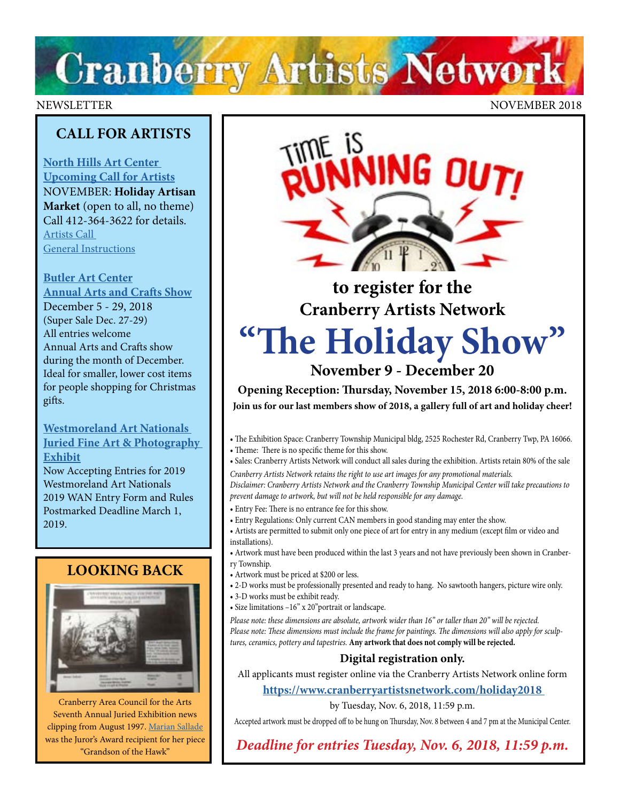## **Cranberry Artists Network**

### NEWSLETTER NOVEMBER 2018

## **CALL FOR ARTISTS**

**[North Hills Art Center](http://www.northhillsartcenter.com/artists.html)  [Upcoming Call for Artists](http://www.northhillsartcenter.com/artists.html)** NOVEMBER: **Holiday Artisan Market** (open to all, no theme) Call 412-364-3622 for details. [Artists Call](http://northhillsartcenter.com/HAM%20Artist%20Call%202018.pdf)  [General Instructions](http://www.northhillsartcenter.com/Holiday%20Artisan)

## **[Butler Art Center](http://butlerartcenter.org/art-shows-music-events.html) [Annual Arts and Crafts Show](http://butlerartcenter.org/art-shows-music-events.html)**

December 5 - 29, 2018 (Super Sale Dec. 27-29) All entries welcome Annual Arts and Crafts show during the month of December. Ideal for smaller, lower cost items for people shopping for Christmas [g](https://artsandheritage.com/the-arts/art-nationals/)ifts.

## **[Westmoreland Art Nationals](https://artsandheritage.com/the-arts/art-nationals/)  [Juried Fine Art & Photography](https://artsandheritage.com/the-arts/art-nationals/)  [Exhibit](https://artsandheritage.com/the-arts/art-nationals/)**

[Now Accepting Entries for 2019](https://artsandheritage.com/the-arts/art-nationals/)  [Westmoreland Art Nationals](https://artsandheritage.com/the-arts/art-nationals/) [2019 WAN Entry Form and Rules](https://artsandheritage.com/the-arts/art-nationals/) Postmarked Deadline March 1, 2019.

## **LOOKING BACK**



Cranberry Area Council for the Arts Seventh Annual Juried Exhibition news clipping from August 1997. [Marian Sallade](http://galleryon43rdstreet.com/?page_id=339) was the Juror's Award recipient for her piece "Grandson of the Hawk"



## **to register for the Cranberry Artists Network "The Holiday Show"**

## **November 9 - December 20**

**Opening Reception: Thursday, November 15, 2018 6:00-8:00 p.m. Join us for our last members show of 2018, a gallery full of art and holiday cheer!**

- The Exhibition Space: Cranberry Township Municipal bldg, 2525 Rochester Rd, Cranberry Twp, PA 16066. • Theme: There is no specific theme for this show.
- Sales: Cranberry Artists Network will conduct all sales during the exhibition. Artists retain 80% of the sale *Cranberry Artists Network retains the right to use art images for any promotional materials.*

*Disclaimer: Cranberry Artists Network and the Cranberry Township Municipal Center will take precautions to prevent damage to artwork, but will not be held responsible for any damage.*

- Entry Fee: There is no entrance fee for this show.
- Entry Regulations: Only current CAN members in good standing may enter the show.

• Artists are permitted to submit only one piece of art for entry in any medium (except film or video and installations).

• Artwork must have been produced within the last 3 years and not have previously been shown in Cranberry Township.

- Artwork must be priced at \$200 or less.
- 2-D works must be professionally presented and ready to hang. No sawtooth hangers, picture wire only.
- 3-D works must be exhibit ready.
- Size limitations –16" x 20"portrait or landscape.

*Please note: these dimensions are absolute, artwork wider than 16" or taller than 20" will be rejected. Please note: These dimensions must include the frame for paintings. The dimensions will also apply for sculptures, ceramics, pottery and tapestries.* **Any artwork that does not comply will be rejected.**

## **Digital registration only.**

All applicants must register online via the Cranberry Artists Network online form

**https://www.cranberryartistsnetwork.com/holiday2018**

by Tuesday, Nov. 6, 2018, 11:59 p.m.

Accepted artwork must be dropped off to be hung on Thursday, Nov. 8 between 4 and 7 pm at the Municipal Center.

*Deadline for entries Tuesday, Nov. 6, 2018, 11:59 p.m.*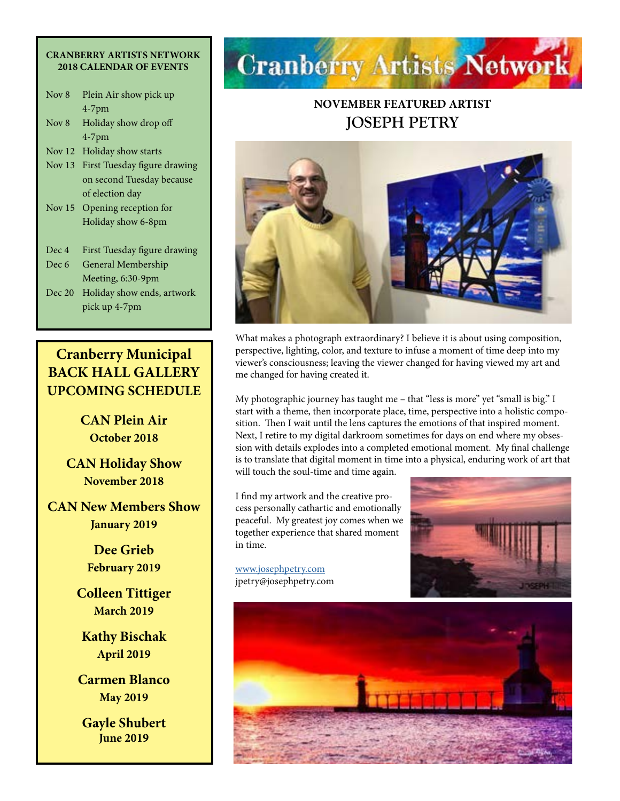#### **CRANBERRY ARTISTS NETWORK 2018 CALENDAR OF EVENTS**

| Nov <sub>8</sub> | Plein Air show pick up       |
|------------------|------------------------------|
|                  | $4-7$ pm                     |
| Nov 8            | Holiday show drop off        |
|                  | $4-7$ pm                     |
| Nov 12           | Holiday show starts          |
| Nov $13$         | First Tuesday figure drawing |
|                  | on second Tuesday because    |
|                  | of election day              |
| Nov $15$         | Opening reception for        |
|                  | Holiday show 6-8pm           |
|                  |                              |
| Dec 4            | First Tuesday figure drawing |
| Dec 6            | General Membership           |
|                  | Meeting, 6:30-9pm            |
| Dec 20           | Holiday show ends, artwork   |
|                  | pick up 4-7pm                |
|                  |                              |

## **Cranberry Municipal BACK HALL GALLERY UPCOMING SCHEDULE**

**CAN Plein Air October 2018**

**CAN Holiday Show November 2018**

**CAN New Members Show January 2019**

> **Dee Grieb February 2019**

**Colleen Tittiger March 2019**

**Kathy Bischak April 2019**

**Carmen Blanco May 2019**

**Gayle Shubert June 2019**

# **Cranberry Artists Network**

## **NOVEMBER FEATURED ARTIST JOSEPH PETRY**



What makes a photograph extraordinary? I believe it is about using composition, perspective, lighting, color, and texture to infuse a moment of time deep into my viewer's consciousness; leaving the viewer changed for having viewed my art and me changed for having created it.

My photographic journey has taught me – that "less is more" yet "small is big." I start with a theme, then incorporate place, time, perspective into a holistic composition. Then I wait until the lens captures the emotions of that inspired moment. Next, I retire to my digital darkroom sometimes for days on end where my obsession with details explodes into a completed emotional moment. My final challenge is to translate that digital moment in time into a physical, enduring work of art that will touch the soul-time and time again.

I find my artwork and the creative process personally cathartic and emotionally peaceful. My greatest joy comes when we together experience that shared moment in time.

[www.josephpetry.com](http://www.josephpetry.com) jpetry@josephpetry.com



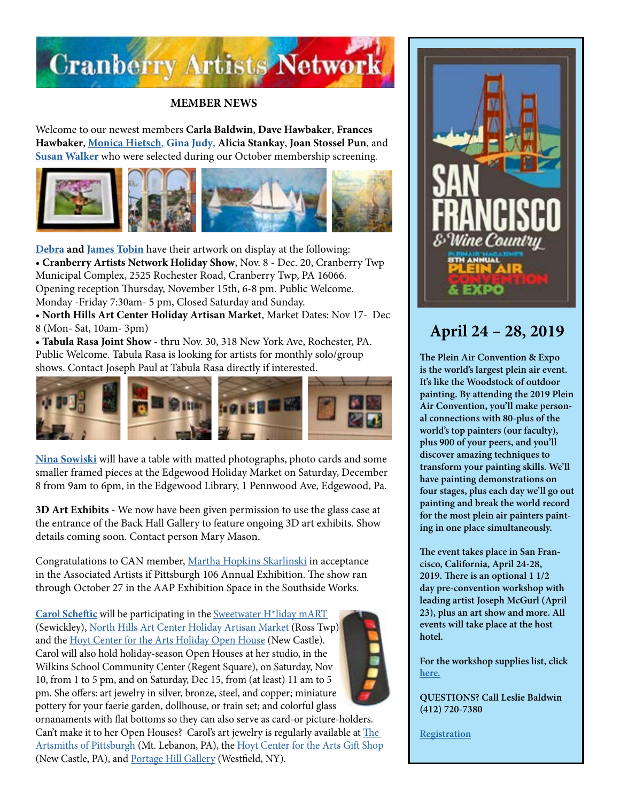

### **MEMBER NEWS**

Welcome to our newest members **Carla Baldwin**, **Dave Hawbaker**, **Frances Hawbaker**, **[Monica Hietsch](http://www.monicahietsch.com
)**, **Gina Judy**, **Alicia Stankay**, **Joan Stossel Pun**, and **[Susan Walker](http://susanwalkerart.com)** who were selected during our October membership screening.



**[Debra](http://debratobinart.com) and [James Tobin](http://jamestobinart.com)** have their artwork on display at the following: • **Cranberry Artists Network Holiday Show**, Nov. 8 - Dec. 20, Cranberry Twp Municipal Complex, 2525 Rochester Road, Cranberry Twp, PA 16066. Opening reception Thursday, November 15th, 6-8 pm. Public Welcome. Monday -Friday 7:30am- 5 pm, Closed Saturday and Sunday.

• **North Hills Art Center Holiday Artisan Market**, Market Dates: Nov 17- Dec 8 (Mon- Sat, 10am- 3pm)

• **Tabula Rasa Joint Show** - thru Nov. 30, 318 New York Ave, Rochester, PA. Public Welcome. Tabula Rasa is looking for artists for monthly solo/group shows. Contact Joseph Paul at Tabula Rasa directly if interested.



**[Nina Sowiski](http://www.ninasowiskiphoto.com/contact.html)** will have a table with matted photographs, photo cards and some smaller framed pieces at the Edgewood Holiday Market on Saturday, December 8 from 9am to 6pm, in the Edgewood Library, 1 Pennwood Ave, Edgewood, Pa.

**3D Art Exhibits -** We now have been given permission to use the glass case at the entrance of the Back Hall Gallery to feature ongoing 3D art exhibits. Show details coming soon. Contact person Mary Mason.

Congratulations to CAN member, [Martha Hopkins Skarlinski](https://www.marthahopkinsskarlinski.com/) in acceptance in the Associated Artists if Pittsburgh 106 Annual Exhibition. The show ran through October 27 in the AAP Exhibition Space in the Southside Works.

**[Carol Scheftic](https://convergentseries.wordpress.com/)** will be participating in the [Sweetwater H\\*liday mART](http://sweetwaterartcenter.org/holiday-mart/) (Sewickley), [North Hills Art Center Holiday Artisan Market](http://www.northhillsartcenter.com/) (Ross Twp) and the [Hoyt Center for the Arts Holiday Open House](http://www.hoytartcenter.org/holiday-open-house/) (New Castle). Carol will also hold holiday-season Open Houses at her studio, in the Wilkins School Community Center (Regent Square), on Saturday, Nov 10, from 1 to 5 pm, and on Saturday, Dec 15, from (at least) 11 am to 5 pm. She offers: art jewelry in silver, bronze, steel, and copper; miniature pottery for your faerie garden, dollhouse, or train set; and colorful glass



ornanaments with flat bottoms so they can also serve as card-or picture-holders. Can't make it to her Open Houses? Carol's art jewelry is regularly available at [The](https://artsmithspgh.com/)  [Artsmiths of Pittsburgh](https://artsmithspgh.com/) (Mt. Lebanon, PA), the [Hoyt Center for the Arts Gift Shop](https://www.hoytartcenter.org/gift-shop/) (New Castle, PA), and [Portage Hill Gallery](https://www.portagehillgallery.com/gallery) (Westfield, NY).



## **April 24 – 28, 2019**

**The Plein Air Convention & Expo is the world's largest plein air event. It's like the Woodstock of outdoor painting. By attending the 2019 Plein Air Convention, you'll make personal connections with 80-plus of the world's top painters (our faculty), plus 900 of your peers, and you'll discover amazing techniques to transform your painting skills. We'll have painting demonstrations on four stages, plus each day we'll go out painting and break the world record for the most plein air painters painting in one place simultaneously.**

**The event takes place in San Francisco, California, April 24-28, 2019. There is an optional 1 1/2 day pre-convention workshop with leading artist Joseph McGurl (April 23), plus an art show and more. All events will take place at the host hotel.**

**For the workshop supplies list, click [here.](https://www.pittsburghwatercolorsociety.com/resources/Documents/Workshops/PWS_2018_Carter%20Watercolor%20Materials%20List.pdf)** 

**QUESTIONS? Call Leslie Baldwin (412) 720-7380**

**[Registration](https://streamlinepublishing.com/s/2019-plein-air-convention-and-expo-2/)**